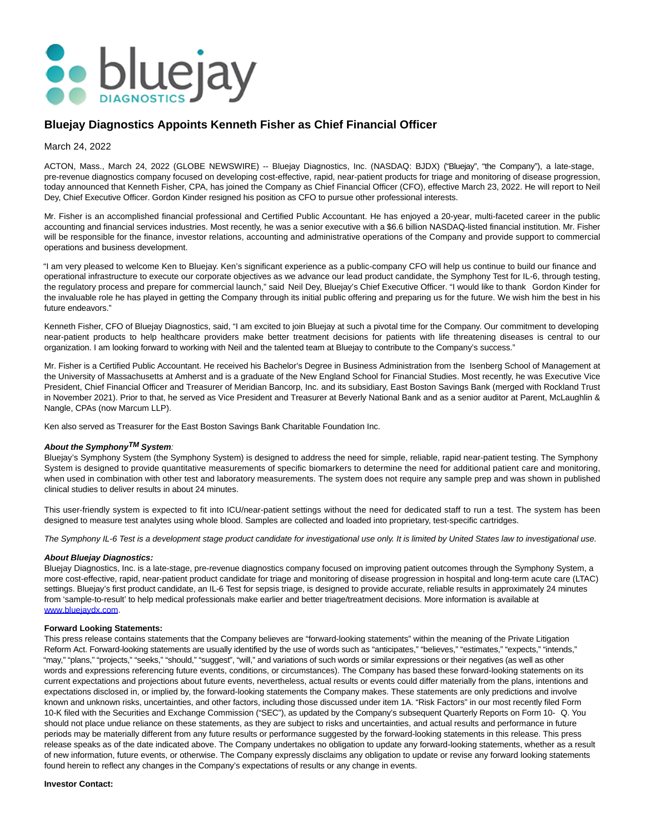

# **Bluejay Diagnostics Appoints Kenneth Fisher as Chief Financial Officer**

### March 24, 2022

ACTON, Mass., March 24, 2022 (GLOBE NEWSWIRE) -- Bluejay Diagnostics, Inc. (NASDAQ: BJDX) ("Bluejay", "the Company"), a late-stage, pre-revenue diagnostics company focused on developing cost-effective, rapid, near-patient products for triage and monitoring of disease progression, today announced that Kenneth Fisher, CPA, has joined the Company as Chief Financial Officer (CFO), effective March 23, 2022. He will report to Neil Dey, Chief Executive Officer. Gordon Kinder resigned his position as CFO to pursue other professional interests.

Mr. Fisher is an accomplished financial professional and Certified Public Accountant. He has enjoyed a 20-year, multi-faceted career in the public accounting and financial services industries. Most recently, he was a senior executive with a \$6.6 billion NASDAQ-listed financial institution. Mr. Fisher will be responsible for the finance, investor relations, accounting and administrative operations of the Company and provide support to commercial operations and business development.

"I am very pleased to welcome Ken to Bluejay. Ken's significant experience as a public-company CFO will help us continue to build our finance and operational infrastructure to execute our corporate objectives as we advance our lead product candidate, the Symphony Test for IL-6, through testing, the regulatory process and prepare for commercial launch," said Neil Dey, Bluejay's Chief Executive Officer. "I would like to thank Gordon Kinder for the invaluable role he has played in getting the Company through its initial public offering and preparing us for the future. We wish him the best in his future endeavors."

Kenneth Fisher, CFO of Bluejay Diagnostics, said, "I am excited to join Bluejay at such a pivotal time for the Company. Our commitment to developing near-patient products to help healthcare providers make better treatment decisions for patients with life threatening diseases is central to our organization. I am looking forward to working with Neil and the talented team at Bluejay to contribute to the Company's success."

Mr. Fisher is a Certified Public Accountant. He received his Bachelor's Degree in Business Administration from the Isenberg School of Management at the University of Massachusetts at Amherst and is a graduate of the New England School for Financial Studies. Most recently, he was Executive Vice President, Chief Financial Officer and Treasurer of Meridian Bancorp, Inc. and its subsidiary, East Boston Savings Bank (merged with Rockland Trust in November 2021). Prior to that, he served as Vice President and Treasurer at Beverly National Bank and as a senior auditor at Parent, McLaughlin & Nangle, CPAs (now Marcum LLP).

Ken also served as Treasurer for the East Boston Savings Bank Charitable Foundation Inc.

## **About the SymphonyTM System**:

Bluejay's Symphony System (the Symphony System) is designed to address the need for simple, reliable, rapid near-patient testing. The Symphony System is designed to provide quantitative measurements of specific biomarkers to determine the need for additional patient care and monitoring, when used in combination with other test and laboratory measurements. The system does not require any sample prep and was shown in published clinical studies to deliver results in about 24 minutes.

This user-friendly system is expected to fit into ICU/near-patient settings without the need for dedicated staff to run a test. The system has been designed to measure test analytes using whole blood. Samples are collected and loaded into proprietary, test-specific cartridges.

The Symphony IL-6 Test is a development stage product candidate for investigational use only. It is limited by United States law to investigational use.

#### **About Bluejay Diagnostics:**

Bluejay Diagnostics, Inc. is a late-stage, pre-revenue diagnostics company focused on improving patient outcomes through the Symphony System, a more cost-effective, rapid, near-patient product candidate for triage and monitoring of disease progression in hospital and long-term acute care (LTAC) settings. Bluejay's first product candidate, an IL-6 Test for sepsis triage, is designed to provide accurate, reliable results in approximately 24 minutes from 'sample-to-result' to help medical professionals make earlier and better triage/treatment decisions. More information is available at [www.bluejaydx.com.](https://www.globenewswire.com/Tracker?data=CtptupfaqXcnecl2tuFk7XRBTbkAP-TgA4mR8iGREkB87MGcEEHQxtU45yITmsCvJ0LQNItpP4_ADfc1N8PTrg==)

#### **Forward Looking Statements:**

This press release contains statements that the Company believes are "forward-looking statements" within the meaning of the Private Litigation Reform Act. Forward-looking statements are usually identified by the use of words such as "anticipates," "believes," "estimates," "expects," "intends," "may," "plans," "projects," "seeks," "should," "suggest", "will," and variations of such words or similar expressions or their negatives (as well as other words and expressions referencing future events, conditions, or circumstances). The Company has based these forward-looking statements on its current expectations and projections about future events, nevertheless, actual results or events could differ materially from the plans, intentions and expectations disclosed in, or implied by, the forward-looking statements the Company makes. These statements are only predictions and involve known and unknown risks, uncertainties, and other factors, including those discussed under item 1A. "Risk Factors" in our most recently filed Form 10-K filed with the Securities and Exchange Commission ("SEC"), as updated by the Company's subsequent Quarterly Reports on Form 10- Q. You should not place undue reliance on these statements, as they are subject to risks and uncertainties, and actual results and performance in future periods may be materially different from any future results or performance suggested by the forward-looking statements in this release. This press release speaks as of the date indicated above. The Company undertakes no obligation to update any forward-looking statements, whether as a result of new information, future events, or otherwise. The Company expressly disclaims any obligation to update or revise any forward looking statements found herein to reflect any changes in the Company's expectations of results or any change in events.

#### **Investor Contact:**